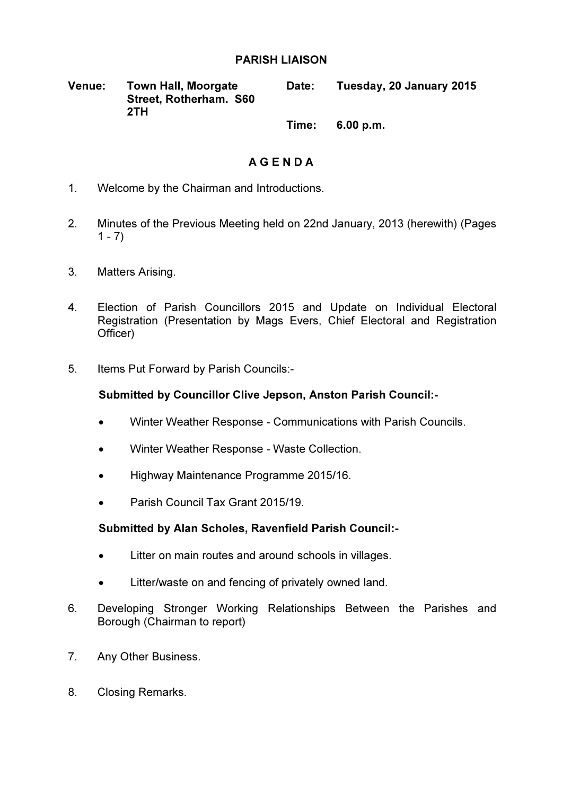## PARISH LIAISON

| <b>Venue:</b> | <b>Town Hall, Moorgate</b> | <b>Date:</b> | Tuesday, 20 January 2015 |
|---------------|----------------------------|--------------|--------------------------|
|               | Street, Rotherham. S60     |              |                          |
|               | 2TH                        |              |                          |

Time: 6.00 p.m.

# A G E N D A

- 1. Welcome by the Chairman and Introductions.
- 2. Minutes of the Previous Meeting held on 22nd January, 2013 (herewith) (Pages  $1 - 7$ )
- 3. Matters Arising.
- 4. Election of Parish Councillors 2015 and Update on Individual Electoral Registration (Presentation by Mags Evers, Chief Electoral and Registration Officer)
- 5. Items Put Forward by Parish Councils:-

## Submitted by Councillor Clive Jepson, Anston Parish Council:-

- Winter Weather Response Communications with Parish Councils.
- Winter Weather Response Waste Collection.
- Highway Maintenance Programme 2015/16.
- Parish Council Tax Grant 2015/19.

## Submitted by Alan Scholes, Ravenfield Parish Council:-

- Litter on main routes and around schools in villages.
- Litter/waste on and fencing of privately owned land.
- 6. Developing Stronger Working Relationships Between the Parishes and Borough (Chairman to report)
- 7. Any Other Business.
- 8. Closing Remarks.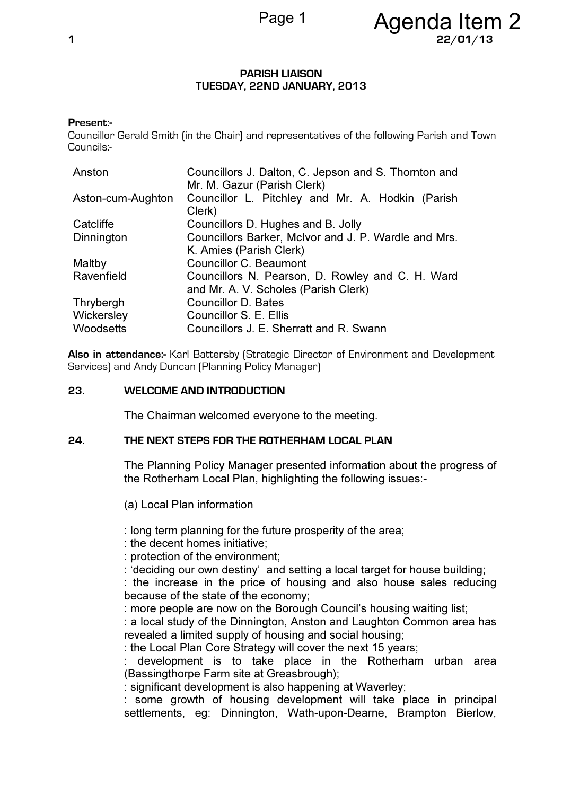#### PARISH LIAISON TUESDAY, 22ND JANUARY, 2013

### Present:-

Councillor Gerald Smith (in the Chair) and representatives of the following Parish and Town Councils:-

| Councillors J. Dalton, C. Jepson and S. Thornton and |  |
|------------------------------------------------------|--|
| Mr. M. Gazur (Parish Clerk)                          |  |
| Councillor L. Pitchley and Mr. A. Hodkin (Parish     |  |
| Clerk)                                               |  |
| Councillors D. Hughes and B. Jolly                   |  |
| Councillors Barker, McIvor and J. P. Wardle and Mrs. |  |
| K. Amies (Parish Clerk)                              |  |
| <b>Councillor C. Beaumont</b>                        |  |
| Councillors N. Pearson, D. Rowley and C. H. Ward     |  |
| and Mr. A. V. Scholes (Parish Clerk)                 |  |
| <b>Councillor D. Bates</b>                           |  |
| Councillor S. E. Ellis                               |  |
| Councillors J. E. Sherratt and R. Swann              |  |
|                                                      |  |

Also in attendance:- Karl Battersby (Strategic Director of Environment and Development Services) and Andy Duncan (Planning Policy Manager)

#### 23. WELCOME AND INTRODUCTION

The Chairman welcomed everyone to the meeting.

## 24. THE NEXT STEPS FOR THE ROTHERHAM LOCAL PLAN

The Planning Policy Manager presented information about the progress of the Rotherham Local Plan, highlighting the following issues:-

(a) Local Plan information

: long term planning for the future prosperity of the area;

: the decent homes initiative;

: protection of the environment;

: 'deciding our own destiny' and setting a local target for house building;

: the increase in the price of housing and also house sales reducing because of the state of the economy;

: more people are now on the Borough Council's housing waiting list;

: a local study of the Dinnington, Anston and Laughton Common area has revealed a limited supply of housing and social housing;

: the Local Plan Core Strategy will cover the next 15 years;

: development is to take place in the Rotherham urban area (Bassingthorpe Farm site at Greasbrough);

: significant development is also happening at Waverley;

: some growth of housing development will take place in principal settlements, eg: Dinnington, Wath-upon-Dearne, Brampton Bierlow,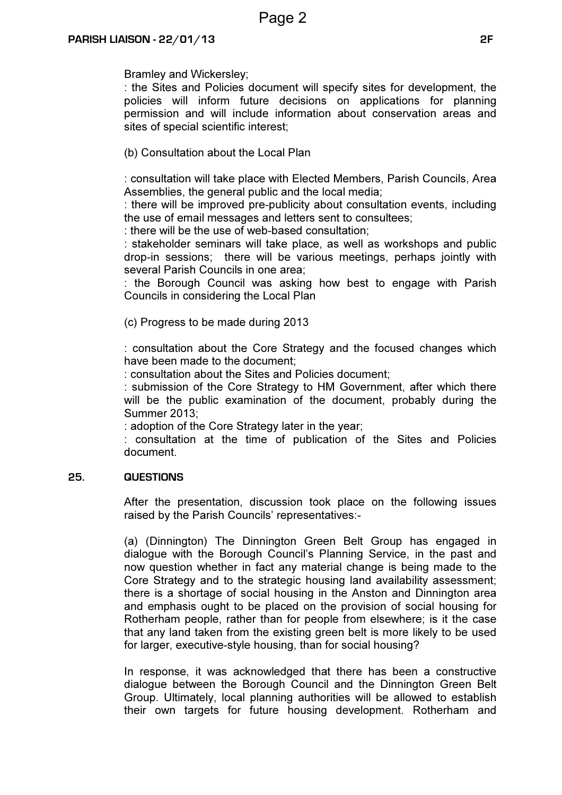Bramley and Wickersley;

: the Sites and Policies document will specify sites for development, the policies will inform future decisions on applications for planning permission and will include information about conservation areas and sites of special scientific interest;

(b) Consultation about the Local Plan

: consultation will take place with Elected Members, Parish Councils, Area Assemblies, the general public and the local media;

: there will be improved pre-publicity about consultation events, including the use of email messages and letters sent to consultees;

: there will be the use of web-based consultation;

: stakeholder seminars will take place, as well as workshops and public drop-in sessions; there will be various meetings, perhaps jointly with several Parish Councils in one area;

: the Borough Council was asking how best to engage with Parish Councils in considering the Local Plan

(c) Progress to be made during 2013

: consultation about the Core Strategy and the focused changes which have been made to the document;

: consultation about the Sites and Policies document;

: submission of the Core Strategy to HM Government, after which there will be the public examination of the document, probably during the Summer 2013;

: adoption of the Core Strategy later in the year;

: consultation at the time of publication of the Sites and Policies document.

## 25. QUESTIONS

After the presentation, discussion took place on the following issues raised by the Parish Councils' representatives:-

(a) (Dinnington) The Dinnington Green Belt Group has engaged in dialogue with the Borough Council's Planning Service, in the past and now question whether in fact any material change is being made to the Core Strategy and to the strategic housing land availability assessment; there is a shortage of social housing in the Anston and Dinnington area and emphasis ought to be placed on the provision of social housing for Rotherham people, rather than for people from elsewhere; is it the case that any land taken from the existing green belt is more likely to be used for larger, executive-style housing, than for social housing?

In response, it was acknowledged that there has been a constructive dialogue between the Borough Council and the Dinnington Green Belt Group. Ultimately, local planning authorities will be allowed to establish their own targets for future housing development. Rotherham and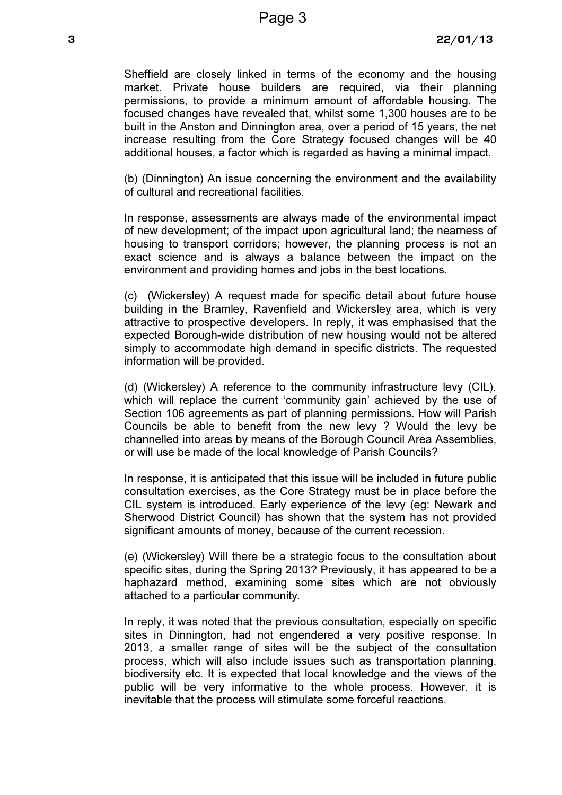Sheffield are closely linked in terms of the economy and the housing market. Private house builders are required, via their planning permissions, to provide a minimum amount of affordable housing. The focused changes have revealed that, whilst some 1,300 houses are to be built in the Anston and Dinnington area, over a period of 15 years, the net increase resulting from the Core Strategy focused changes will be 40 additional houses, a factor which is regarded as having a minimal impact.

(b) (Dinnington) An issue concerning the environment and the availability of cultural and recreational facilities.

In response, assessments are always made of the environmental impact of new development; of the impact upon agricultural land; the nearness of housing to transport corridors; however, the planning process is not an exact science and is always a balance between the impact on the environment and providing homes and jobs in the best locations.

(c) (Wickersley) A request made for specific detail about future house building in the Bramley, Ravenfield and Wickersley area, which is very attractive to prospective developers. In reply, it was emphasised that the expected Borough-wide distribution of new housing would not be altered simply to accommodate high demand in specific districts. The requested information will be provided.

(d) (Wickersley) A reference to the community infrastructure levy (CIL), which will replace the current 'community gain' achieved by the use of Section 106 agreements as part of planning permissions. How will Parish Councils be able to benefit from the new levy ? Would the levy be channelled into areas by means of the Borough Council Area Assemblies, or will use be made of the local knowledge of Parish Councils?

In response, it is anticipated that this issue will be included in future public consultation exercises, as the Core Strategy must be in place before the CIL system is introduced. Early experience of the levy (eg: Newark and Sherwood District Council) has shown that the system has not provided significant amounts of money, because of the current recession.

(e) (Wickersley) Will there be a strategic focus to the consultation about specific sites, during the Spring 2013? Previously, it has appeared to be a haphazard method, examining some sites which are not obviously attached to a particular community.

In reply, it was noted that the previous consultation, especially on specific sites in Dinnington, had not engendered a very positive response. In 2013, a smaller range of sites will be the subject of the consultation process, which will also include issues such as transportation planning, biodiversity etc. It is expected that local knowledge and the views of the public will be very informative to the whole process. However, it is inevitable that the process will stimulate some forceful reactions.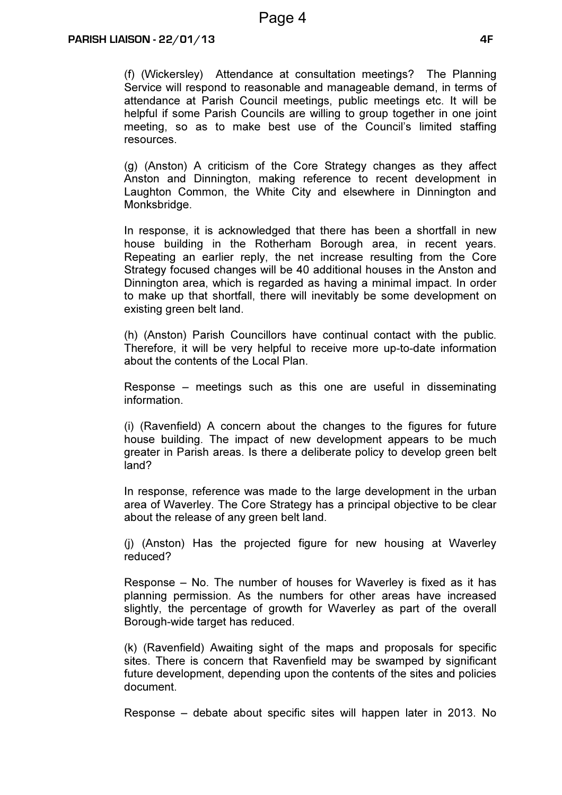(f) (Wickersley) Attendance at consultation meetings? The Planning Service will respond to reasonable and manageable demand, in terms of attendance at Parish Council meetings, public meetings etc. It will be helpful if some Parish Councils are willing to group together in one joint meeting, so as to make best use of the Council's limited staffing resources.

(g) (Anston) A criticism of the Core Strategy changes as they affect Anston and Dinnington, making reference to recent development in Laughton Common, the White City and elsewhere in Dinnington and Monksbridge.

In response, it is acknowledged that there has been a shortfall in new house building in the Rotherham Borough area, in recent years. Repeating an earlier reply, the net increase resulting from the Core Strategy focused changes will be 40 additional houses in the Anston and Dinnington area, which is regarded as having a minimal impact. In order to make up that shortfall, there will inevitably be some development on existing green belt land.

(h) (Anston) Parish Councillors have continual contact with the public. Therefore, it will be very helpful to receive more up-to-date information about the contents of the Local Plan.

Response – meetings such as this one are useful in disseminating information.

(i) (Ravenfield) A concern about the changes to the figures for future house building. The impact of new development appears to be much greater in Parish areas. Is there a deliberate policy to develop green belt land?

In response, reference was made to the large development in the urban area of Waverley. The Core Strategy has a principal objective to be clear about the release of any green belt land.

(j) (Anston) Has the projected figure for new housing at Waverley reduced?

Response – No. The number of houses for Waverley is fixed as it has planning permission. As the numbers for other areas have increased slightly, the percentage of growth for Waverley as part of the overall Borough-wide target has reduced.

(k) (Ravenfield) Awaiting sight of the maps and proposals for specific sites. There is concern that Ravenfield may be swamped by significant future development, depending upon the contents of the sites and policies document.

Response – debate about specific sites will happen later in 2013. No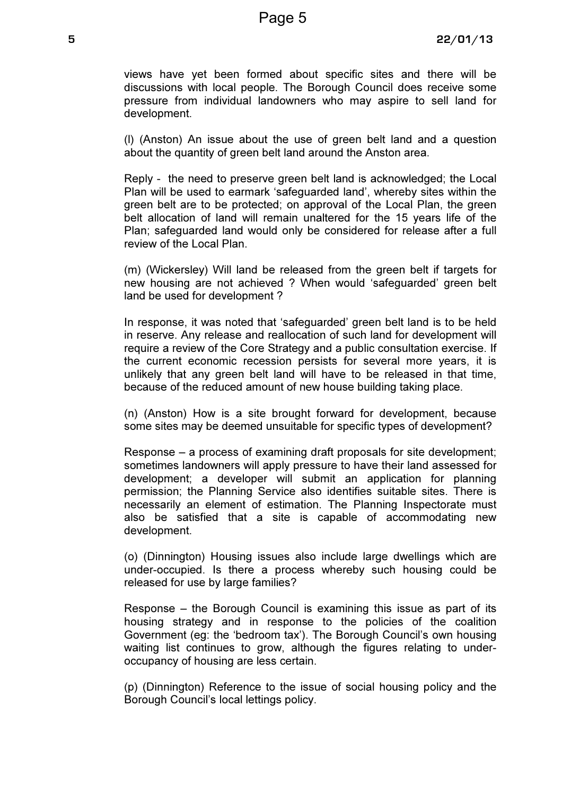views have yet been formed about specific sites and there will be discussions with local people. The Borough Council does receive some pressure from individual landowners who may aspire to sell land for development.

(l) (Anston) An issue about the use of green belt land and a question about the quantity of green belt land around the Anston area.

Reply - the need to preserve green belt land is acknowledged; the Local Plan will be used to earmark 'safeguarded land', whereby sites within the green belt are to be protected; on approval of the Local Plan, the green belt allocation of land will remain unaltered for the 15 years life of the Plan; safeguarded land would only be considered for release after a full review of the Local Plan.

(m) (Wickersley) Will land be released from the green belt if targets for new housing are not achieved ? When would 'safeguarded' green belt land be used for development ?

In response, it was noted that 'safeguarded' green belt land is to be held in reserve. Any release and reallocation of such land for development will require a review of the Core Strategy and a public consultation exercise. If the current economic recession persists for several more years, it is unlikely that any green belt land will have to be released in that time, because of the reduced amount of new house building taking place.

(n) (Anston) How is a site brought forward for development, because some sites may be deemed unsuitable for specific types of development?

Response – a process of examining draft proposals for site development; sometimes landowners will apply pressure to have their land assessed for development; a developer will submit an application for planning permission; the Planning Service also identifies suitable sites. There is necessarily an element of estimation. The Planning Inspectorate must also be satisfied that a site is capable of accommodating new development.

(o) (Dinnington) Housing issues also include large dwellings which are under-occupied. Is there a process whereby such housing could be released for use by large families?

Response – the Borough Council is examining this issue as part of its housing strategy and in response to the policies of the coalition Government (eg: the 'bedroom tax'). The Borough Council's own housing waiting list continues to grow, although the figures relating to underoccupancy of housing are less certain.

(p) (Dinnington) Reference to the issue of social housing policy and the Borough Council's local lettings policy.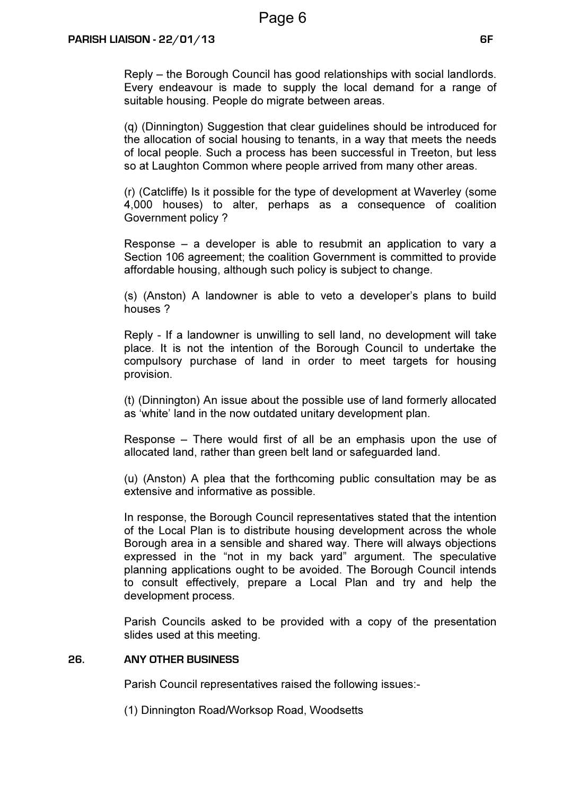Reply – the Borough Council has good relationships with social landlords. Every endeavour is made to supply the local demand for a range of suitable housing. People do migrate between areas.

(q) (Dinnington) Suggestion that clear guidelines should be introduced for the allocation of social housing to tenants, in a way that meets the needs of local people. Such a process has been successful in Treeton, but less so at Laughton Common where people arrived from many other areas.

(r) (Catcliffe) Is it possible for the type of development at Waverley (some 4,000 houses) to alter, perhaps as a consequence of coalition Government policy ?

Response – a developer is able to resubmit an application to vary a Section 106 agreement; the coalition Government is committed to provide affordable housing, although such policy is subject to change.

(s) (Anston) A landowner is able to veto a developer's plans to build houses ?

Reply - If a landowner is unwilling to sell land, no development will take place. It is not the intention of the Borough Council to undertake the compulsory purchase of land in order to meet targets for housing provision.

(t) (Dinnington) An issue about the possible use of land formerly allocated as 'white' land in the now outdated unitary development plan.

Response – There would first of all be an emphasis upon the use of allocated land, rather than green belt land or safeguarded land.

(u) (Anston) A plea that the forthcoming public consultation may be as extensive and informative as possible.

In response, the Borough Council representatives stated that the intention of the Local Plan is to distribute housing development across the whole Borough area in a sensible and shared way. There will always objections expressed in the "not in my back yard" argument. The speculative planning applications ought to be avoided. The Borough Council intends to consult effectively, prepare a Local Plan and try and help the development process.

Parish Councils asked to be provided with a copy of the presentation slides used at this meeting.

## 26. ANY OTHER BUSINESS

Parish Council representatives raised the following issues:-

(1) Dinnington Road/Worksop Road, Woodsetts